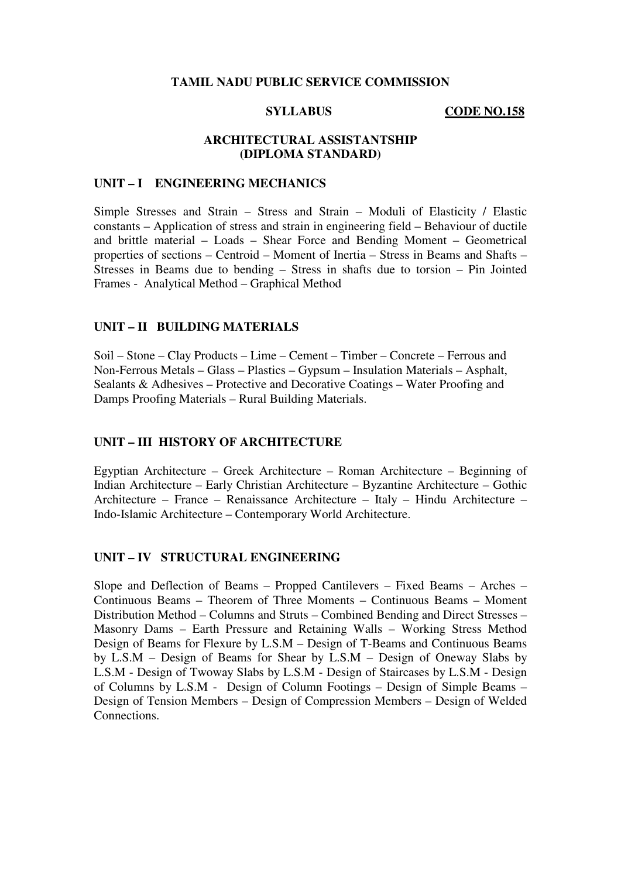#### **TAMIL NADU PUBLIC SERVICE COMMISSION**

**SYLLABUS** CODE NO.158

## **ARCHITECTURAL ASSISTANTSHIP (DIPLOMA STANDARD)**

## **UNIT – I ENGINEERING MECHANICS**

Simple Stresses and Strain – Stress and Strain – Moduli of Elasticity / Elastic constants – Application of stress and strain in engineering field – Behaviour of ductile and brittle material – Loads – Shear Force and Bending Moment – Geometrical properties of sections – Centroid – Moment of Inertia – Stress in Beams and Shafts – Stresses in Beams due to bending – Stress in shafts due to torsion – Pin Jointed Frames - Analytical Method – Graphical Method

## **UNIT – II BUILDING MATERIALS**

Soil – Stone – Clay Products – Lime – Cement – Timber – Concrete – Ferrous and Non-Ferrous Metals – Glass – Plastics – Gypsum – Insulation Materials – Asphalt, Sealants & Adhesives – Protective and Decorative Coatings – Water Proofing and Damps Proofing Materials – Rural Building Materials.

#### **UNIT – III HISTORY OF ARCHITECTURE**

Egyptian Architecture – Greek Architecture – Roman Architecture – Beginning of Indian Architecture – Early Christian Architecture – Byzantine Architecture – Gothic Architecture – France – Renaissance Architecture – Italy – Hindu Architecture – Indo-Islamic Architecture – Contemporary World Architecture.

## **UNIT – IV STRUCTURAL ENGINEERING**

Slope and Deflection of Beams – Propped Cantilevers – Fixed Beams – Arches – Continuous Beams – Theorem of Three Moments – Continuous Beams – Moment Distribution Method – Columns and Struts – Combined Bending and Direct Stresses – Masonry Dams – Earth Pressure and Retaining Walls – Working Stress Method Design of Beams for Flexure by L.S.M – Design of T-Beams and Continuous Beams by L.S.M – Design of Beams for Shear by L.S.M – Design of Oneway Slabs by L.S.M - Design of Twoway Slabs by L.S.M - Design of Staircases by L.S.M - Design of Columns by L.S.M - Design of Column Footings – Design of Simple Beams – Design of Tension Members – Design of Compression Members – Design of Welded **Connections**